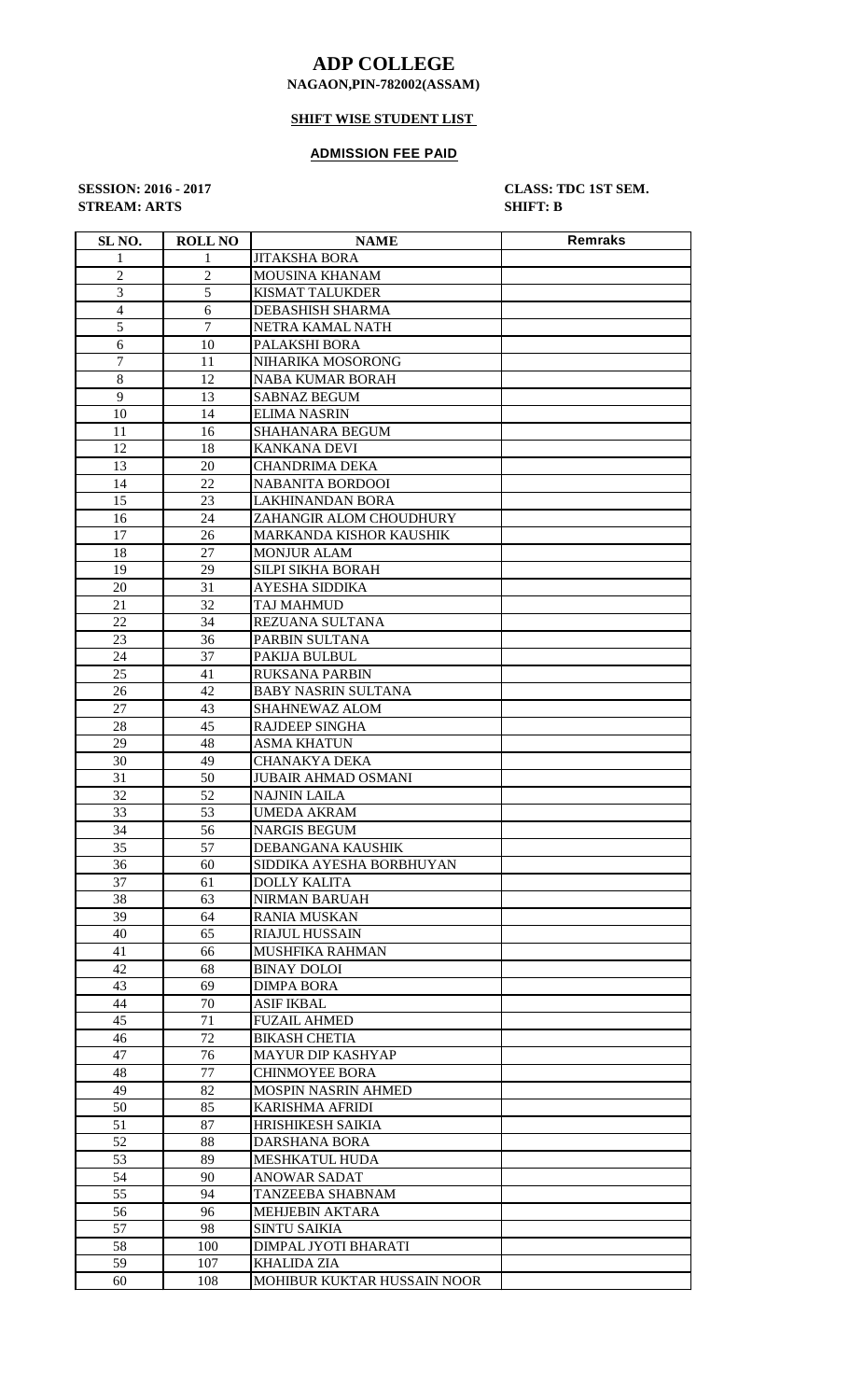# **ADP COLLEGE**

### **NAGAON,PIN-782002(ASSAM)**

## **SHIFT WISE STUDENT LIST**

#### **ADMISSION FEE PAID**

**STREAM: ARTS SHIFT: B**

**SESSION: 2016 - 2017 CLASS: TDC 1ST SEM.**

| SL <sub>NO</sub> . | <b>ROLL NO</b> | <b>NAME</b>                 | <b>Remraks</b> |
|--------------------|----------------|-----------------------------|----------------|
| 1                  | 1              | <b>JITAKSHA BORA</b>        |                |
| $\overline{2}$     | $\overline{2}$ | MOUSINA KHANAM              |                |
| 3                  | 5              | KISMAT TALUKDER             |                |
| $\overline{4}$     | 6              | DEBASHISH SHARMA            |                |
| 5                  | $\overline{7}$ | NETRA KAMAL NATH            |                |
| 6                  | 10             | PALAKSHI BORA               |                |
| 7                  | 11             | NIHARIKA MOSORONG           |                |
| 8                  | 12             | NABA KUMAR BORAH            |                |
| 9                  | 13             | <b>SABNAZ BEGUM</b>         |                |
| 10                 | 14             | ELIMA NASRIN                |                |
| 11                 | 16             |                             |                |
|                    |                | SHAHANARA BEGUM             |                |
| 12                 | 18             | <b>KANKANA DEVI</b>         |                |
| 13                 | 20<br>22       | <b>CHANDRIMA DEKA</b>       |                |
| 14                 |                | <b>NABANITA BORDOOI</b>     |                |
| 15                 | 23             | <b>LAKHINANDAN BORA</b>     |                |
| 16                 | 24             | ZAHANGIR ALOM CHOUDHURY     |                |
| 17                 | 26             | MARKANDA KISHOR KAUSHIK     |                |
| 18                 | 27             | <b>MONJUR ALAM</b>          |                |
| 19                 | 29             | SILPI SIKHA BORAH           |                |
| 20                 | 31             | AYESHA SIDDIKA              |                |
| 21                 | 32             | TAJ MAHMUD                  |                |
| 22                 | 34             | REZUANA SULTANA             |                |
| 23                 | 36             | PARBIN SULTANA              |                |
| 24                 | 37             | PAKIJA BULBUL               |                |
| 25                 | 41             | RUKSANA PARBIN              |                |
| 26                 | 42             | <b>BABY NASRIN SULTANA</b>  |                |
| 27                 | 43             | SHAHNEWAZ ALOM              |                |
| 28                 | 45             | RAJDEEP SINGHA              |                |
| 29                 | 48             | <b>ASMA KHATUN</b>          |                |
| 30                 | 49             | <b>CHANAKYA DEKA</b>        |                |
| 31                 | 50             | <b>JUBAIR AHMAD OSMANI</b>  |                |
| 32                 | 52             | <b>NAJNIN LAILA</b>         |                |
| 33                 | 53             | <b>UMEDA AKRAM</b>          |                |
| 34                 | 56             | <b>NARGIS BEGUM</b>         |                |
| 35                 | 57             | DEBANGANA KAUSHIK           |                |
| 36                 | 60             | SIDDIKA AYESHA BORBHUYAN    |                |
| 37                 | 61             | <b>DOLLY KALITA</b>         |                |
| 38                 | 63             | <b>NIRMAN BARUAH</b>        |                |
| 39                 | 64             | RANIA MUSKAN                |                |
| 40                 | 65             | <b>RIAJUL HUSSAIN</b>       |                |
| 41                 | 66             | MUSHFIKA RAHMAN             |                |
| 42                 | 68             | <b>BINAY DOLOI</b>          |                |
| 43                 | 69             | DIMPA BORA                  |                |
| 44                 | 70             | <b>ASIF IKBAL</b>           |                |
| 45                 | 71             | <b>FUZAIL AHMED</b>         |                |
| 46                 | 72             | <b>BIKASH CHETIA</b>        |                |
| 47                 | 76             | MAYUR DIP KASHYAP           |                |
| 48                 | 77             | <b>CHINMOYEE BORA</b>       |                |
| 49                 | 82             | MOSPIN NASRIN AHMED         |                |
| 50                 | 85             | <b>KARISHMA AFRIDI</b>      |                |
| 51                 | 87             | HRISHIKESH SAIKIA           |                |
| 52                 | 88             | DARSHANA BORA               |                |
| 53                 | 89             | MESHKATUL HUDA              |                |
| 54                 | 90             | <b>ANOWAR SADAT</b>         |                |
| 55                 | 94             | TANZEEBA SHABNAM            |                |
| 56                 | 96             | <b>MEHJEBIN AKTARA</b>      |                |
| 57                 | 98             | <b>SINTU SAIKIA</b>         |                |
| 58                 | 100            | DIMPAL JYOTI BHARATI        |                |
| 59                 | 107            | KHALIDA ZIA                 |                |
| 60                 | 108            | MOHIBUR KUKTAR HUSSAIN NOOR |                |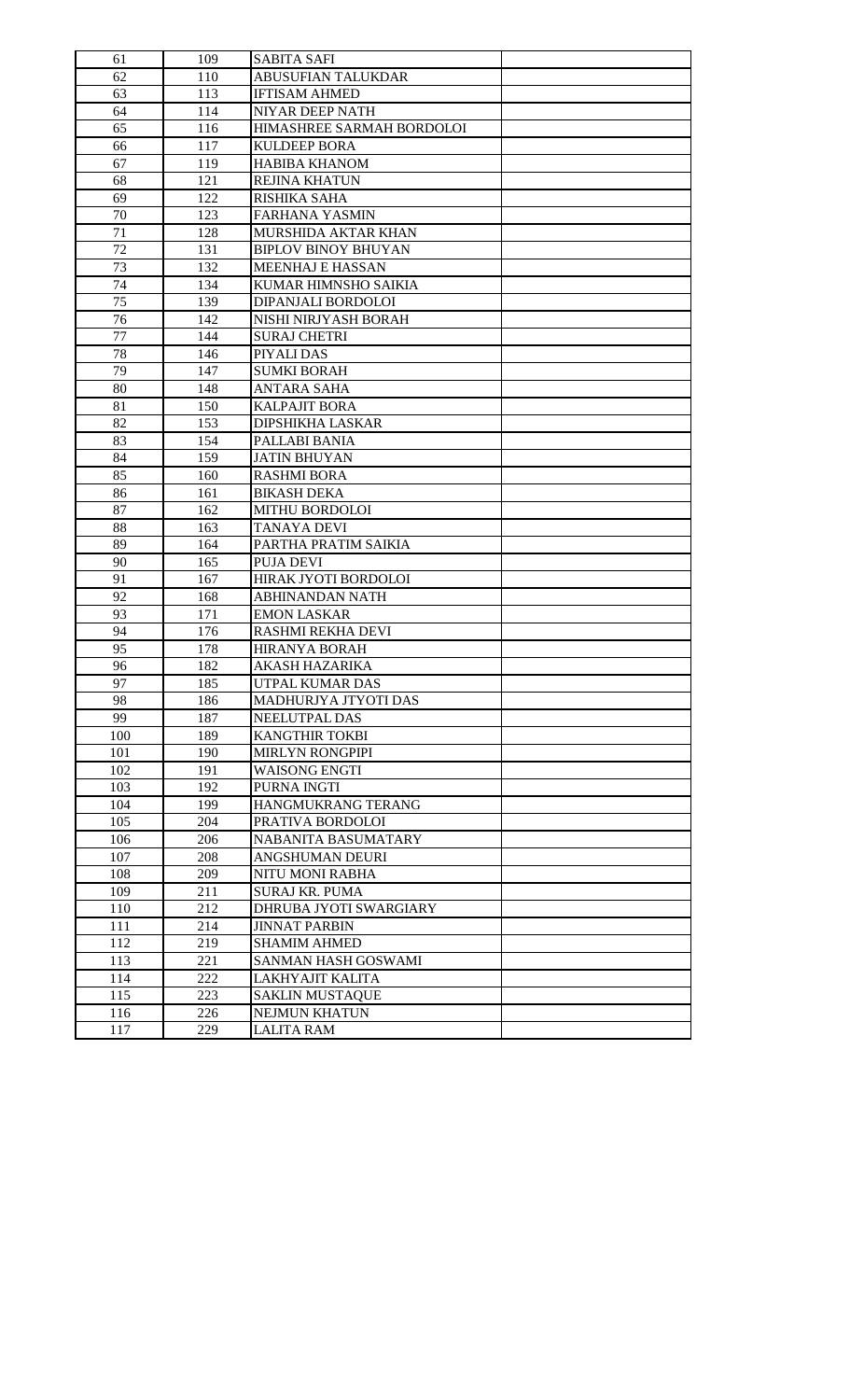| 61  | 109 | <b>SABITA SAFI</b>         |  |
|-----|-----|----------------------------|--|
| 62  | 110 | ABUSUFIAN TALUKDAR         |  |
| 63  | 113 | <b>IFTISAM AHMED</b>       |  |
| 64  | 114 | NIYAR DEEP NATH            |  |
| 65  | 116 | HIMASHREE SARMAH BORDOLOI  |  |
| 66  | 117 | <b>KULDEEP BORA</b>        |  |
| 67  | 119 | <b>HABIBA KHANOM</b>       |  |
| 68  | 121 | <b>REJINA KHATUN</b>       |  |
| 69  | 122 | RISHIKA SAHA               |  |
| 70  | 123 | FARHANA YASMIN             |  |
| 71  | 128 | MURSHIDA AKTAR KHAN        |  |
| 72  | 131 | <b>BIPLOV BINOY BHUYAN</b> |  |
| 73  | 132 | <b>MEENHAJ E HASSAN</b>    |  |
| 74  | 134 | KUMAR HIMNSHO SAIKIA       |  |
| 75  | 139 | DIPANJALI BORDOLOI         |  |
| 76  | 142 | NISHI NIRJYASH BORAH       |  |
| 77  | 144 | <b>SURAJ CHETRI</b>        |  |
| 78  | 146 | PIYALI DAS                 |  |
| 79  | 147 | <b>SUMKI BORAH</b>         |  |
| 80  | 148 | ANTARA SAHA                |  |
| 81  | 150 | <b>KALPAJIT BORA</b>       |  |
| 82  | 153 | DIPSHIKHA LASKAR           |  |
|     | 154 |                            |  |
| 83  |     | PALLABI BANIA              |  |
| 84  | 159 | JATIN BHUYAN               |  |
| 85  | 160 | <b>RASHMI BORA</b>         |  |
| 86  | 161 | <b>BIKASH DEKA</b>         |  |
| 87  | 162 | MITHU BORDOLOI             |  |
| 88  | 163 | <b>TANAYA DEVI</b>         |  |
| 89  | 164 | PARTHA PRATIM SAIKIA       |  |
| 90  | 165 | PUJA DEVI                  |  |
| 91  | 167 | HIRAK JYOTI BORDOLOI       |  |
| 92  | 168 | ABHINANDAN NATH            |  |
| 93  | 171 | <b>EMON LASKAR</b>         |  |
| 94  | 176 | <b>RASHMI REKHA DEVI</b>   |  |
| 95  | 178 | <b>HIRANYA BORAH</b>       |  |
| 96  | 182 | AKASH HAZARIKA             |  |
| 97  | 185 | UTPAL KUMAR DAS            |  |
| 98  | 186 | MADHURJYA JTYOTI DAS       |  |
| 99  | 187 | NEELUTPAL DAS              |  |
| 100 | 189 | <b>KANGTHIR TOKBI</b>      |  |
| 101 | 190 | <b>MIRLYN RONGPIPI</b>     |  |
| 102 | 191 | <b>WAISONG ENGTI</b>       |  |
| 103 | 192 | PURNA INGTI                |  |
| 104 | 199 | HANGMUKRANG TERANG         |  |
| 105 | 204 | PRATIVA BORDOLOI           |  |
| 106 | 206 | NABANITA BASUMATARY        |  |
| 107 | 208 | ANGSHUMAN DEURI            |  |
| 108 | 209 | NITU MONI RABHA            |  |
| 109 | 211 | SURAJ KR. PUMA             |  |
| 110 | 212 | DHRUBA JYOTI SWARGIARY     |  |
| 111 | 214 | <b>JINNAT PARBIN</b>       |  |
| 112 | 219 | <b>SHAMIM AHMED</b>        |  |
| 113 | 221 | SANMAN HASH GOSWAMI        |  |
| 114 | 222 | LAKHYAJIT KALITA           |  |
| 115 | 223 | <b>SAKLIN MUSTAQUE</b>     |  |
| 116 | 226 | NEJMUN KHATUN              |  |
| 117 | 229 | LALITA RAM                 |  |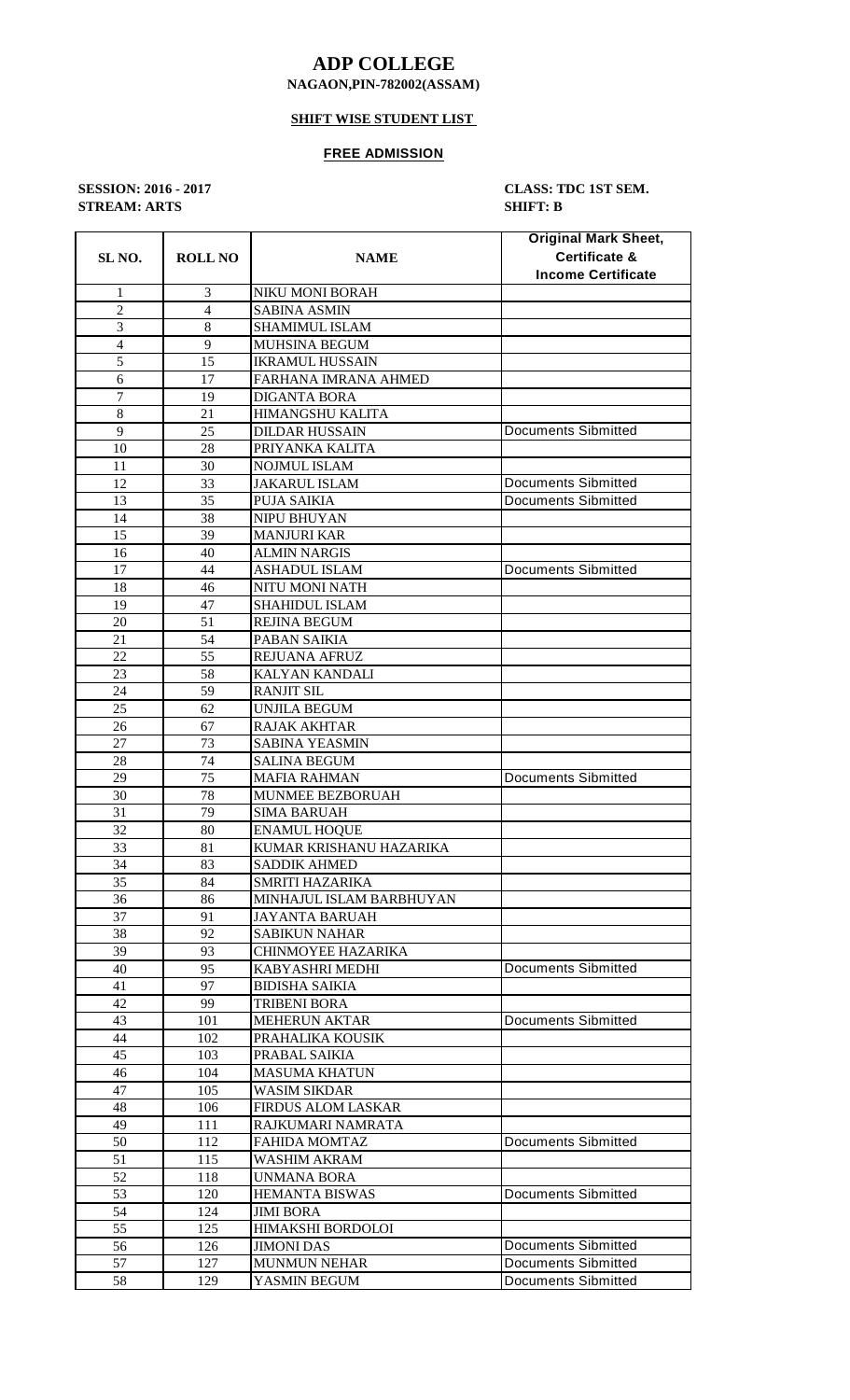# **ADP COLLEGE**

### **NAGAON,PIN-782002(ASSAM)**

## **SHIFT WISE STUDENT LIST**

#### **FREE ADMISSION**

**STREAM: ARTS SHIFT: B**

**SESSION: 2016 - 2017 CLASS: TDC 1ST SEM.**

| SL <sub>NO.</sub> | <b>ROLL NO</b> | <b>NAME</b>              | <b>Original Mark Sheet,</b><br><b>Certificate &amp;</b><br><b>Income Certificate</b> |
|-------------------|----------------|--------------------------|--------------------------------------------------------------------------------------|
| 1                 | 3              | NIKU MONI BORAH          |                                                                                      |
| $\overline{2}$    | $\overline{4}$ | <b>SABINA ASMIN</b>      |                                                                                      |
| 3                 | $\,8\,$        | <b>SHAMIMUL ISLAM</b>    |                                                                                      |
| $\overline{4}$    | 9              | MUHSINA BEGUM            |                                                                                      |
| 5                 | 15             | <b>IKRAMUL HUSSAIN</b>   |                                                                                      |
| 6                 | 17             | FARHANA IMRANA AHMED     |                                                                                      |
| 7                 | 19             | <b>DIGANTA BORA</b>      |                                                                                      |
| 8                 | 21             | HIMANGSHU KALITA         |                                                                                      |
| 9                 | 25             | <b>DILDAR HUSSAIN</b>    | <b>Documents Sibmitted</b>                                                           |
| 10                | 28             | PRIYANKA KALITA          |                                                                                      |
| 11                | 30             | <b>NOJMUL ISLAM</b>      |                                                                                      |
| 12                | 33             | <b>JAKARUL ISLAM</b>     | <b>Documents Sibmitted</b>                                                           |
| 13                | 35             | PUJA SAIKIA              | <b>Documents Sibmitted</b>                                                           |
| 14                | 38             | <b>NIPU BHUYAN</b>       |                                                                                      |
| 15                | 39             | <b>MANJURI KAR</b>       |                                                                                      |
| 16                | 40             | <b>ALMIN NARGIS</b>      |                                                                                      |
| 17                | 44             | ASHADUL ISLAM            | <b>Documents Sibmitted</b>                                                           |
| 18                | 46             | NITU MONI NATH           |                                                                                      |
| 19                | 47             | <b>SHAHIDUL ISLAM</b>    |                                                                                      |
| 20                | 51             | <b>REJINA BEGUM</b>      |                                                                                      |
| 21                | 54             | PABAN SAIKIA             |                                                                                      |
| 22                | 55             | REJUANA AFRUZ            |                                                                                      |
| 23                | 58             | KALYAN KANDALI           |                                                                                      |
| 24                | 59             | <b>RANJIT SIL</b>        |                                                                                      |
| 25                | 62             | UNJILA BEGUM             |                                                                                      |
| 26                | 67             | <b>RAJAK AKHTAR</b>      |                                                                                      |
| 27                | 73             | <b>SABINA YEASMIN</b>    |                                                                                      |
| 28                | 74             | <b>SALINA BEGUM</b>      |                                                                                      |
| 29                | 75             | <b>MAFIA RAHMAN</b>      | <b>Documents Sibmitted</b>                                                           |
| 30                | 78             | MUNMEE BEZBORUAH         |                                                                                      |
| 31                | 79             | <b>SIMA BARUAH</b>       |                                                                                      |
| 32                | 80             | <b>ENAMUL HOQUE</b>      |                                                                                      |
| 33                | 81             | KUMAR KRISHANU HAZARIKA  |                                                                                      |
| 34                | 83             | <b>SADDIK AHMED</b>      |                                                                                      |
| 35                | 84             | <b>SMRITI HAZARIKA</b>   |                                                                                      |
| 36                | 86             | MINHAJUL ISLAM BARBHUYAN |                                                                                      |
| 37                | 91             | JAYANTA BARUAH           |                                                                                      |
| 38                | 92             | <b>SABIKUN NAHAR</b>     |                                                                                      |
| 39                | 93             | CHINMOYEE HAZARIKA       |                                                                                      |
| 40                | 95             | KABYASHRI MEDHI          | <b>Documents Sibmitted</b>                                                           |
| 41                | 97             | <b>BIDISHA SAIKIA</b>    |                                                                                      |
| 42                | 99             | TRIBENI BORA             |                                                                                      |
| 43                | 101            | <b>MEHERUN AKTAR</b>     | Documents Sibmitted                                                                  |
| 44                | 102            | PRAHALIKA KOUSIK         |                                                                                      |
| 45                | 103            | PRABAL SAIKIA            |                                                                                      |
| 46                | 104            | <b>MASUMA KHATUN</b>     |                                                                                      |
| 47                | 105            | <b>WASIM SIKDAR</b>      |                                                                                      |
| 48                | 106            | FIRDUS ALOM LASKAR       |                                                                                      |
| 49                | 111            | RAJKUMARI NAMRATA        |                                                                                      |
| 50                | 112            | FAHIDA MOMTAZ            | <b>Documents Sibmitted</b>                                                           |
| 51                | 115            | WASHIM AKRAM             |                                                                                      |
| 52                | 118            | <b>UNMANA BORA</b>       |                                                                                      |
| 53                | 120            | <b>HEMANTA BISWAS</b>    | <b>Documents Sibmitted</b>                                                           |
| 54                | 124            | JIMI BORA                |                                                                                      |
| 55                | 125            | HIMAKSHI BORDOLOI        |                                                                                      |
| 56                | 126            | <b>JIMONI DAS</b>        | <b>Documents Sibmitted</b>                                                           |
| 57                | 127            | <b>MUNMUN NEHAR</b>      | Documents Sibmitted                                                                  |
| 58                | 129            | YASMIN BEGUM             | <b>Documents Sibmitted</b>                                                           |